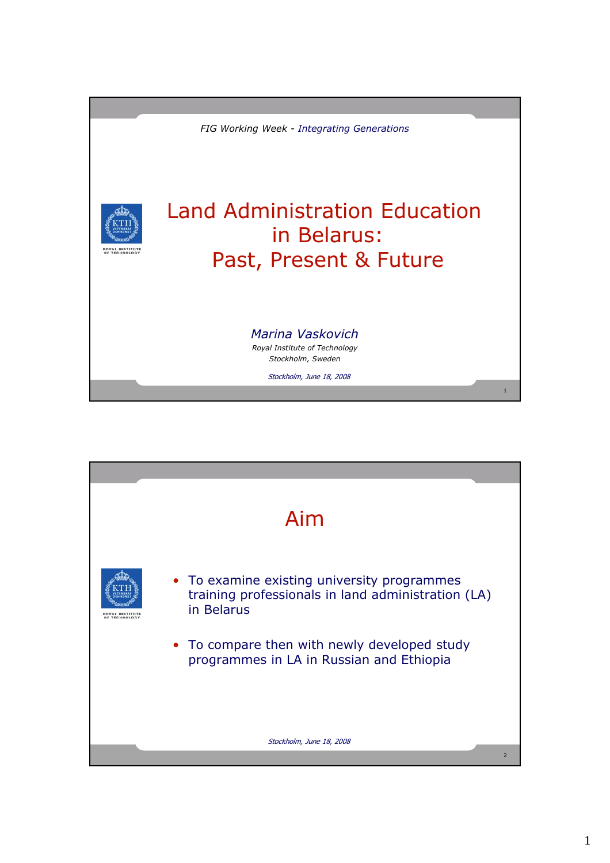

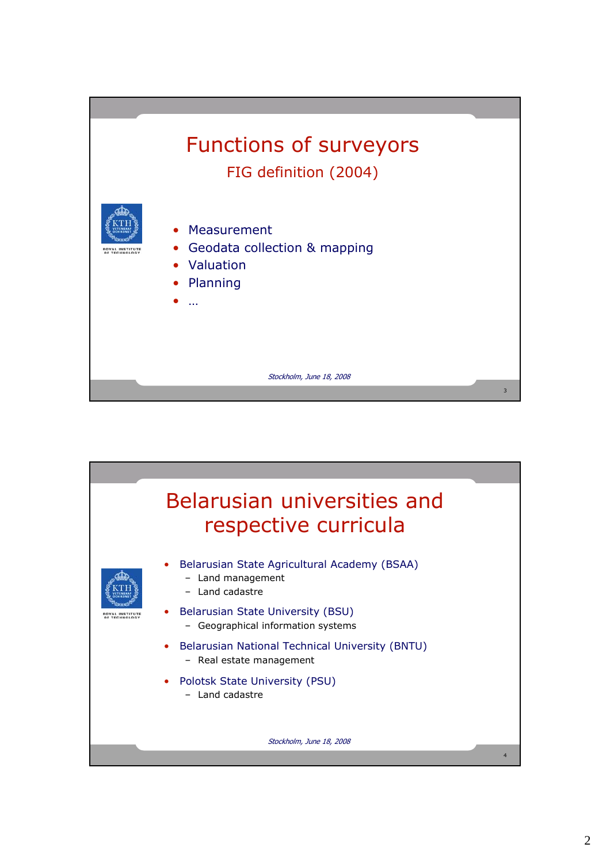

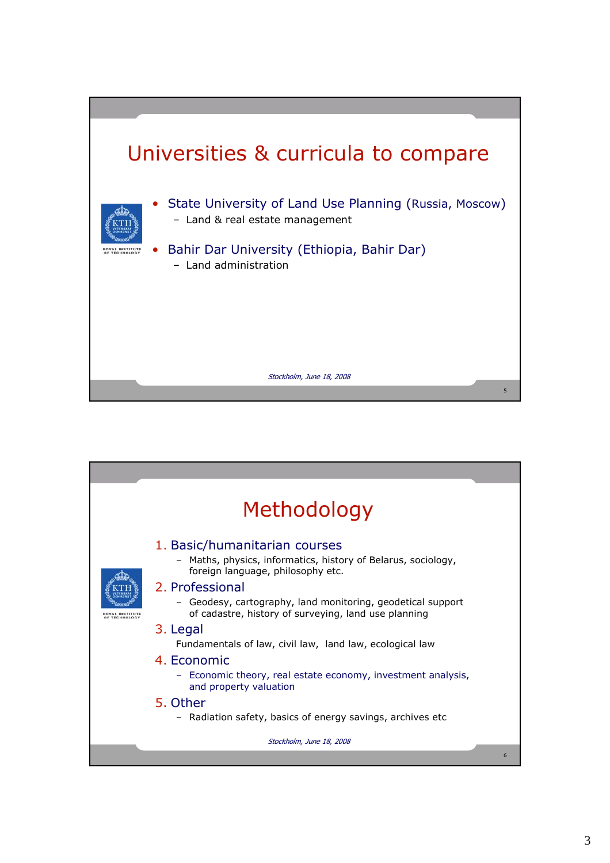

| Methodology       |                                                                                                                                                        |  |  |  |  |  |  |  |  |
|-------------------|--------------------------------------------------------------------------------------------------------------------------------------------------------|--|--|--|--|--|--|--|--|
| <b>TECHNOLOGY</b> | 1. Basic/humanitarian courses<br>- Maths, physics, informatics, history of Belarus, sociology,<br>foreign language, philosophy etc.<br>2. Professional |  |  |  |  |  |  |  |  |
|                   | - Geodesy, cartography, land monitoring, geodetical support<br>of cadastre, history of surveying, land use planning                                    |  |  |  |  |  |  |  |  |
|                   | 3. Legal<br>Fundamentals of law, civil law, land law, ecological law                                                                                   |  |  |  |  |  |  |  |  |
|                   | 4. Economic<br>- Economic theory, real estate economy, investment analysis,<br>and property valuation                                                  |  |  |  |  |  |  |  |  |
|                   | 5. Other<br>- Radiation safety, basics of energy savings, archives etc                                                                                 |  |  |  |  |  |  |  |  |
|                   | Stockholm, June 18, 2008                                                                                                                               |  |  |  |  |  |  |  |  |
|                   | 6                                                                                                                                                      |  |  |  |  |  |  |  |  |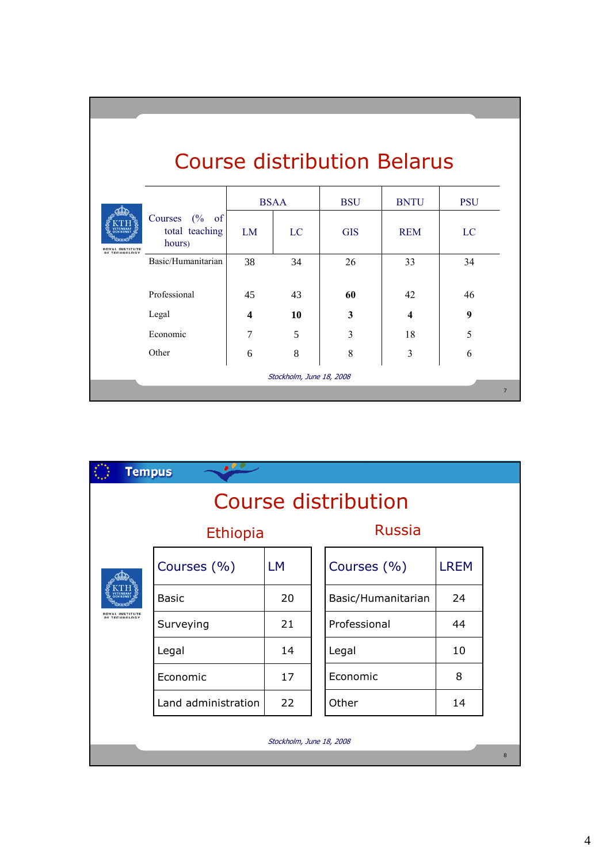| AL INSTITUTE<br>OF TECHNOLOGY |                                              | <b>BSAA</b>      |    | <b>BSU</b> | <b>BNTU</b> | <b>PSU</b> |
|-------------------------------|----------------------------------------------|------------------|----|------------|-------------|------------|
|                               | Courses $(\%$ of<br>total teaching<br>hours) | LM               | LC | <b>GIS</b> | <b>REM</b>  | LC         |
|                               | Basic/Humanitarian                           | 38               | 34 | 26         | 33          | 34         |
|                               | Professional                                 | 45               | 43 | 60         | 42          | 46         |
|                               | Legal                                        | $\boldsymbol{4}$ | 10 | 3          | 4           | 9          |
|                               | Economic                                     | 7                | 5  | 3          | 18          | 5          |
|                               | Other                                        | 6                | 8  | 8          | 3           | 6          |

| <b>Tempus</b>                           | . 00                |           |                    |             |  |  |  |  |  |  |
|-----------------------------------------|---------------------|-----------|--------------------|-------------|--|--|--|--|--|--|
| Course distribution                     |                     |           |                    |             |  |  |  |  |  |  |
|                                         | <b>Ethiopia</b>     |           | <b>Russia</b>      |             |  |  |  |  |  |  |
| <b>ROYAL INSTITUTE</b><br>OF TECHNOLOGY | Courses (%)         | <b>LM</b> | Courses (%)        | <b>LREM</b> |  |  |  |  |  |  |
|                                         | <b>Basic</b>        | 20        | Basic/Humanitarian | 24          |  |  |  |  |  |  |
|                                         | Surveying           | 21        | Professional       | 44          |  |  |  |  |  |  |
|                                         | Legal               | 14        | Legal              | 10          |  |  |  |  |  |  |
|                                         | Economic            | 17        | Economic           | 8           |  |  |  |  |  |  |
|                                         | Land administration | 22        | Other              | 14          |  |  |  |  |  |  |
| Stockholm, June 18, 2008                |                     |           |                    |             |  |  |  |  |  |  |
| 8                                       |                     |           |                    |             |  |  |  |  |  |  |